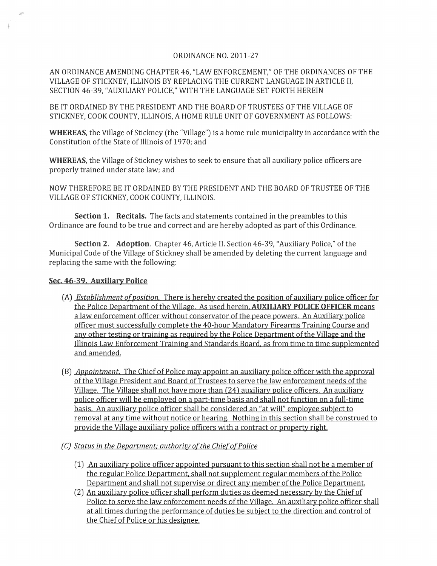## ORDINANCE NO. 2011-27

AN ORDINANCE AMENDING CHAPTER 46, "LAW ENFORCEMENT," OF THE ORDINANCES OF THE VILLAGE OF STICKNEY, ILLINOIS BY REPLACING THE CURRENT LANGUAGE IN ARTICLE II, SECTION 46-39, "AUXILIARY POLICE," WITH THE LANGUAGE SET FORTH HEREIN

BE IT ORDAINED BY THE PRESIDENT AND THE BOARD OF TRUSTEES OF THE VILLAGE OF STICKNEY, COOK COUNTY, ILLINOIS, A HOME RULE UNIT OF GOVERNMENT AS FOLLOWS:

WHEREAS, the Village of Stickney (the "Village") is a home rule municipality in accordance with the Constitution of the State of Illinois of 1970; and

WHEREAS, the Village of Stickney wishes to seek to ensure that all auxiliary police officers are properly trained under state law; and

NOW THEREFORE BE IT ORDAINED BY THE PRESIDENT AND THE BOARD OF TRUSTEE OF THE VILLAGE OF STICKNEY, COOK COUNTY, ILLINOIS.

Section 1. Recitals. The facts and statements contained in the preambles to this Ordinance are found to be true and correct and are hereby adopted as part of this Ordinance.

Section 2. Adoption. Chapter 46, Article II. Section 46-39, "Auxiliary Police," of the Municipal Code of the Village of Stickney shall be amended by deleting the current language and replacing the same with the following:

## Sec. 46-39. Auxiliary Police

- (A) *Establishment of position.* There is hereby created the position of auxiliary police officer for the Police Department of the Village. As used herein. AUXILIARY POLICE OFFICER means a law enforcement officer without conservator of the peace powers. An Auxiliary police officer must successfully complete the 40-hour Mandatory Firearms Training Course and any other testing or training as required by the Police Department of the Village and the Illinois Law Enforcement Training and Standards Board. as from time to time supplemented and amended.
- (B) *Appointment.* The Chief of Police may appoint an auxiliary police officer with the approval of the Village President and Board of Trustees to serve the law enforcement needs of the Village. The Village shall not have more than (24) auxiliary police officers. An auxiliary police officer will be employed on a part-time basis and shall not function on a full-time basis. An auxiliary police officer shall be considered an "at will" employee subject to removal at any time without notice or hearing. Nothing in this section shall be construed to provide the Village auxiliary police officers with a contract or property right.
- *(C) Status in the Department: authority ofthe ChiefofPolice* 
	- (1) An auxiliary police officer appointed pursuant to this section shall not be a member of the regular Police Department. shall not supplement regular members of the Police Department and shall not supervise or direct any member of the Police Department.
	- (2) An auxiliary police officer shall perform duties as deemed necessary by the Chief of Police to serve the law enforcement needs of the Village. An auxiliary police officer shall at all times during the performance of duties be subject to the direction and control of the Chief of Police or his designee.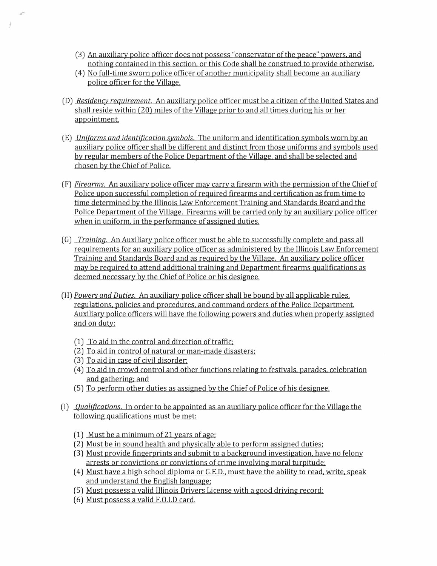- (3) An auxiliary police officer does not possess "conservator of the peace" powers. and nothing contained in this section. or this Code shall be construed to provide otherwise.
- (4) No full-time sworn police officer of another municipality shall become an auxiliary police officer for the Village.
- (D) *Residency requirement.* An auxiliary police officer must be a citizen of the United States and shall reside within (20) miles of the Village prior to and all times during his or her appointment.
- (E) *Uniforms and identification symbols.* The uniform and identification symbols worn by an auxiliary police officer shall be different and distinct from those uniforms and symbols used by regular members of the Police Department of the Village. and shall be selected and chosen by the Chief of Police.
- (F) *Firearms.* An auxiliary police officer may carry a firearm with the permission of the Chief of Police upon successful completion of required firearms and certification as from time to time determined by the Illinois Law Enforcement Training and Standards Board and the Police Department of the Village. Firearms will be carried only by an auxiliary police officer when in uniform, in the performance of assigned duties.
- (G) *Training.* An Auxiliary police officer must be able to successfully complete and pass all requirements for an auxiliary police officer as administered by the Illinois Law Enforcement Training and Standards Board and as required by the Village. An auxiliary police officer may be required to attend additional training and Department firearms qualifications as deemed necessary by the Chief of Police or his designee.
- (H) *Powers and Duties.* An auxiliary police officer shall be bound by all applicable rules. regulations, policies and procedures, and command orders of the Police Department. Auxiliary police officers will have the following powers and duties when properly assigned and on duty:
	- (1) To aid in the control and direction of traffic:
	- (2) To aid in control of natural or man-made disasters:
	- (3) To aid in case of civil disorder:
	- (4) To aid in crowd control and other functions relating to festivals. parades. celebration and gathering: and
	- (5) To perform other duties as assigned by the Chief of Police of his designee.
- (I) *Qualifications.* In order to be appointed as an auxiliary police officer for the Village the following qualifications must be met:
	- (1) Must be a minimum of 21 years of age:
	- (2) Must be in sound health and physically able to perform assigned duties:
	- (3) Must provide fingerprints and submit to a background investigation. have no felony arrests or convictions or convictions of crime involving moral turpitude:
	- (4) Must have a high school diploma or G.E.D., must have the ability to read, write, speak and understand the English language:
	- (5) Must possess a valid Illinois Drivers License with a good driving record:
	- (6) Must possess a valid F.O.I.D card.